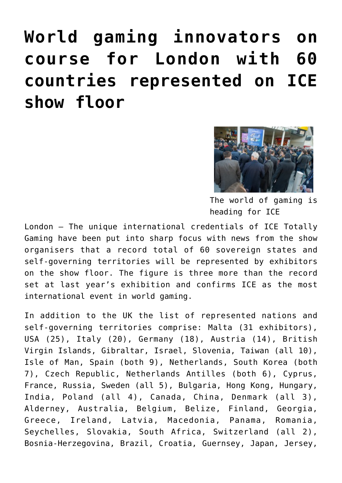## **[World gaming innovators on](https://www.isa-guide.de/isa-messen/isa-messen-englisch/articles/122705.html) [course for London with 60](https://www.isa-guide.de/isa-messen/isa-messen-englisch/articles/122705.html) [countries represented on ICE](https://www.isa-guide.de/isa-messen/isa-messen-englisch/articles/122705.html) [show floor](https://www.isa-guide.de/isa-messen/isa-messen-englisch/articles/122705.html)**



The world of gaming is heading for ICE

London – The unique international credentials of ICE Totally Gaming have been put into sharp focus with news from the show organisers that a record total of 60 sovereign states and self-governing territories will be represented by exhibitors on the show floor. The figure is three more than the record set at last year's exhibition and confirms ICE as the most international event in world gaming.

In addition to the UK the list of represented nations and self-governing territories comprise: Malta (31 exhibitors), USA (25), Italy (20), Germany (18), Austria (14), British Virgin Islands, Gibraltar, Israel, Slovenia, Taiwan (all 10), Isle of Man, Spain (both 9), Netherlands, South Korea (both 7), Czech Republic, Netherlands Antilles (both 6), Cyprus, France, Russia, Sweden (all 5), Bulgaria, Hong Kong, Hungary, India, Poland (all 4), Canada, China, Denmark (all 3), Alderney, Australia, Belgium, Belize, Finland, Georgia, Greece, Ireland, Latvia, Macedonia, Panama, Romania, Seychelles, Slovakia, South Africa, Switzerland (all 2), Bosnia-Herzegovina, Brazil, Croatia, Guernsey, Japan, Jersey,